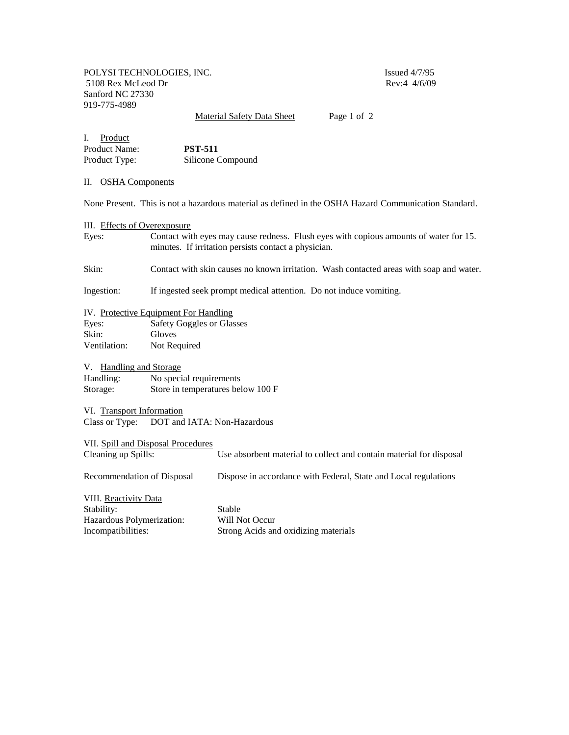POLYSI TECHNOLOGIES, INC.<br>5108 Rex McLeod Dr Rev:4 4/6/09 5108 Rex McLeod Dr Sanford NC 27330 919-775-4989

Material Safety Data Sheet Page 1 of 2

I. Product Product Name: **PST-511**<br>Product Type: Silicone C Silicone Compound

## II. OSHA Components

None Present. This is not a hazardous material as defined in the OSHA Hazard Communication Standard.

| III. Effects of Overexposure                                                           |                                                                    |                                                                                                                                               |  |  |
|----------------------------------------------------------------------------------------|--------------------------------------------------------------------|-----------------------------------------------------------------------------------------------------------------------------------------------|--|--|
| Eyes:                                                                                  |                                                                    | Contact with eyes may cause redness. Flush eyes with copious amounts of water for 15.<br>minutes. If irritation persists contact a physician. |  |  |
| Skin:                                                                                  |                                                                    | Contact with skin causes no known irritation. Wash contacted areas with soap and water.                                                       |  |  |
| Ingestion:                                                                             | If ingested seek prompt medical attention. Do not induce vomiting. |                                                                                                                                               |  |  |
| IV. Protective Equipment For Handling                                                  |                                                                    |                                                                                                                                               |  |  |
| Eyes:                                                                                  | <b>Safety Goggles or Glasses</b>                                   |                                                                                                                                               |  |  |
| Skin:                                                                                  | Gloves                                                             |                                                                                                                                               |  |  |
| Ventilation:                                                                           | Not Required                                                       |                                                                                                                                               |  |  |
| V. Handling and Storage                                                                |                                                                    |                                                                                                                                               |  |  |
| Handling:                                                                              | No special requirements                                            |                                                                                                                                               |  |  |
| Storage:                                                                               | Store in temperatures below 100 F                                  |                                                                                                                                               |  |  |
| VI. Transport Information                                                              |                                                                    |                                                                                                                                               |  |  |
| Class or Type: DOT and IATA: Non-Hazardous                                             |                                                                    |                                                                                                                                               |  |  |
| VII. Spill and Disposal Procedures                                                     |                                                                    |                                                                                                                                               |  |  |
| Cleaning up Spills:                                                                    |                                                                    | Use absorbent material to collect and contain material for disposal                                                                           |  |  |
| Recommendation of Disposal                                                             |                                                                    | Dispose in accordance with Federal, State and Local regulations                                                                               |  |  |
| VIII. Reactivity Data<br>Stability:<br>Hazardous Polymerization:<br>Incompatibilities: |                                                                    | Stable<br>Will Not Occur<br>Strong Acids and oxidizing materials                                                                              |  |  |
|                                                                                        |                                                                    |                                                                                                                                               |  |  |